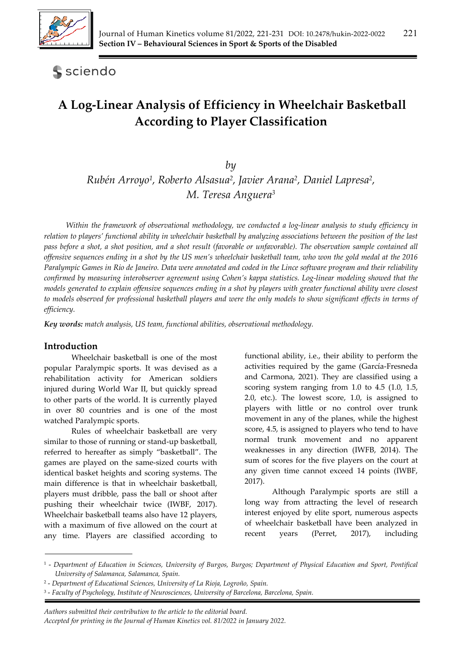

**S** sciendo

# **A Log-Linear Analysis of Efficiency in Wheelchair Basketball According to Player Classification**

*by* 

*Rubén Arroyo1, Roberto Alsasua2, Javier Arana2, Daniel Lapresa2, M. Teresa Anguera3*

*Within the framework of observational methodology, we conducted a log-linear analysis to study efficiency in relation to players' functional ability in wheelchair basketball by analyzing associations between the position of the last pass before a shot, a shot position, and a shot result (favorable or unfavorable). The observation sample contained all offensive sequences ending in a shot by the US men's wheelchair basketball team, who won the gold medal at the 2016 Paralympic Games in Rio de Janeiro. Data were annotated and coded in the Lince software program and their reliability confirmed by measuring interobserver agreement using Cohen's kappa statistics. Log-linear modeling showed that the models generated to explain offensive sequences ending in a shot by players with greater functional ability were closest to models observed for professional basketball players and were the only models to show significant effects in terms of efficiency.* 

*Key words: match analysis, US team, functional abilities, observational methodology.*

#### **Introduction**

Wheelchair basketball is one of the most popular Paralympic sports. It was devised as a rehabilitation activity for American soldiers injured during World War II, but quickly spread to other parts of the world. It is currently played in over 80 countries and is one of the most watched Paralympic sports.

Rules of wheelchair basketball are very similar to those of running or stand-up basketball, referred to hereafter as simply "basketball". The games are played on the same-sized courts with identical basket heights and scoring systems. The main difference is that in wheelchair basketball, players must dribble, pass the ball or shoot after pushing their wheelchair twice (IWBF, 2017). Wheelchair basketball teams also have 12 players, with a maximum of five allowed on the court at any time. Players are classified according to functional ability, i.e., their ability to perform the activities required by the game (García-Fresneda and Carmona, 2021). They are classified using a scoring system ranging from 1.0 to 4.5 (1.0, 1.5, 2.0, etc.). The lowest score, 1.0, is assigned to players with little or no control over trunk movement in any of the planes, while the highest score, 4.5, is assigned to players who tend to have normal trunk movement and no apparent weaknesses in any direction (IWFB, 2014). The sum of scores for the five players on the court at any given time cannot exceed 14 points (IWBF, 2017).

Although Paralympic sports are still a long way from attracting the level of research interest enjoyed by elite sport, numerous aspects of wheelchair basketball have been analyzed in recent years (Perret, 2017), including

*Authors submitted their contribution to the article to the editorial board. Accepted for printing in the Journal of Human Kinetics vol. 81/2022 in January 2022.* 

<sup>1 -</sup> *Department of Education in Sciences, University of Burgos, Burgos; Department of Physical Education and Sport, Pontifical University of Salamanca, Salamanca, Spain.*

<sup>2 -</sup> *Department of Educational Sciences, University of La Rioja, Logroño, Spain.* 

<sup>3 -</sup> *Faculty of Psychology, Institute of Neurosciences, University of Barcelona, Barcelona, Spain.*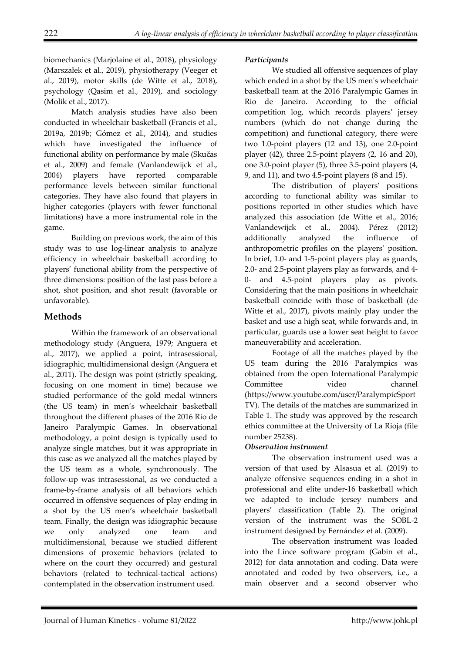biomechanics (Marjolaine et al., 2018), physiology (Marszałek et al., 2019), physiotherapy (Veeger et al., 2019), motor skills (de Witte et al., 2018), psychology (Qasim et al., 2019), and sociology (Molik et al., 2017).

Match analysis studies have also been conducted in wheelchair basketball (Francis et al., 2019a, 2019b; Gómez et al., 2014), and studies which have investigated the influence of functional ability on performance by male (Skučas et al., 2009) and female (Vanlandewijck et al., 2004) players have reported comparable performance levels between similar functional categories. They have also found that players in higher categories (players with fewer functional limitations) have a more instrumental role in the game.

Building on previous work, the aim of this study was to use log-linear analysis to analyze efficiency in wheelchair basketball according to players' functional ability from the perspective of three dimensions: position of the last pass before a shot, shot position, and shot result (favorable or unfavorable).

# **Methods**

Within the framework of an observational methodology study (Anguera, 1979; Anguera et al., 2017), we applied a point, intrasessional, idiographic, multidimensional design (Anguera et al., 2011). The design was point (strictly speaking, focusing on one moment in time) because we studied performance of the gold medal winners (the US team) in men's wheelchair basketball throughout the different phases of the 2016 Rio de Janeiro Paralympic Games. In observational methodology, a point design is typically used to analyze single matches, but it was appropriate in this case as we analyzed all the matches played by the US team as a whole, synchronously. The follow-up was intrasessional, as we conducted a frame-by-frame analysis of all behaviors which occurred in offensive sequences of play ending in a shot by the US men's wheelchair basketball team. Finally, the design was idiographic because we only analyzed one team and multidimensional, because we studied different dimensions of proxemic behaviors (related to where on the court they occurred) and gestural behaviors (related to technical-tactical actions) contemplated in the observation instrument used.

#### *Participants*

We studied all offensive sequences of play which ended in a shot by the US men's wheelchair basketball team at the 2016 Paralympic Games in Rio de Janeiro. According to the official competition log, which records players' jersey numbers (which do not change during the competition) and functional category, there were two 1.0-point players (12 and 13), one 2.0-point player (42), three 2.5-point players (2, 16 and 20), one 3.0-point player (5), three 3.5-point players (4, 9, and 11), and two 4.5-point players (8 and 15).

The distribution of players' positions according to functional ability was similar to positions reported in other studies which have analyzed this association (de Witte et al., 2016; Vanlandewijck et al., 2004). Pérez (2012) additionally analyzed the influence of anthropometric profiles on the players' position. In brief, 1.0- and 1-5-point players play as guards, 2.0- and 2.5-point players play as forwards, and 4- 0- and 4.5-point players play as pivots. Considering that the main positions in wheelchair basketball coincide with those of basketball (de Witte et al., 2017), pivots mainly play under the basket and use a high seat, while forwards and, in particular, guards use a lower seat height to favor maneuverability and acceleration.

Footage of all the matches played by the US team during the 2016 Paralympics was obtained from the open International Paralympic Committee video channel (https://www.youtube.com/user/ParalympicSport TV). The details of the matches are summarized in Table 1. The study was approved by the research ethics committee at the University of La Rioja (file number 25238).

## *Observation instrument*

The observation instrument used was a version of that used by Alsasua et al. (2019) to analyze offensive sequences ending in a shot in professional and elite under-16 basketball which we adapted to include jersey numbers and players' classification (Table 2). The original version of the instrument was the SOBL-2 instrument designed by Fernández et al. (2009).

The observation instrument was loaded into the Lince software program (Gabin et al., 2012) for data annotation and coding. Data were annotated and coded by two observers, i.e., a main observer and a second observer who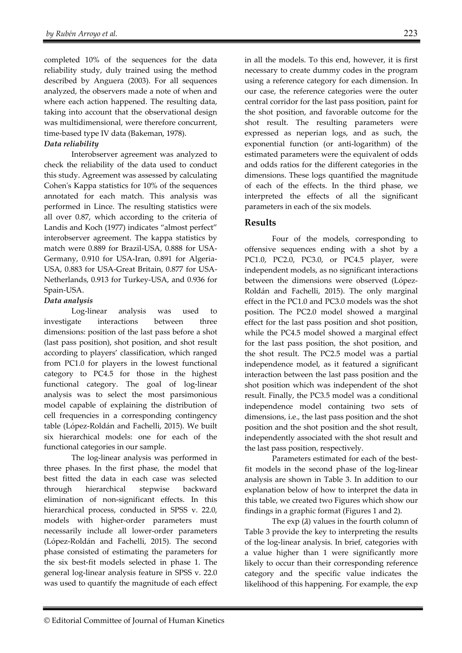completed 10% of the sequences for the data reliability study, duly trained using the method described by Anguera (2003). For all sequences analyzed, the observers made a note of when and where each action happened. The resulting data, taking into account that the observational design was multidimensional, were therefore concurrent, time-based type IV data (Bakeman, 1978).

#### *Data reliability*

Interobserver agreement was analyzed to check the reliability of the data used to conduct this study. Agreement was assessed by calculating Cohen's Kappa statistics for 10% of the sequences annotated for each match. This analysis was performed in Lince. The resulting statistics were all over 0.87, which according to the criteria of Landis and Koch (1977) indicates "almost perfect" interobserver agreement. The kappa statistics by match were 0.889 for Brazil-USA, 0.888 for USA-Germany, 0.910 for USA-Iran, 0.891 for Algeria-USA, 0.883 for USA-Great Britain, 0.877 for USA-Netherlands, 0.913 for Turkey-USA, and 0.936 for Spain-USA.

#### *Data analysis*

Log-linear analysis was used to investigate interactions between three dimensions: position of the last pass before a shot (last pass position), shot position, and shot result according to players' classification, which ranged from PC1.0 for players in the lowest functional category to PC4.5 for those in the highest functional category. The goal of log-linear analysis was to select the most parsimonious model capable of explaining the distribution of cell frequencies in a corresponding contingency table (López-Roldán and Fachelli, 2015). We built six hierarchical models: one for each of the functional categories in our sample.

The log-linear analysis was performed in three phases. In the first phase, the model that best fitted the data in each case was selected through hierarchical stepwise backward elimination of non-significant effects. In this hierarchical process, conducted in SPSS v. 22.0, models with higher-order parameters must necessarily include all lower-order parameters (López-Roldán and Fachelli, 2015). The second phase consisted of estimating the parameters for the six best-fit models selected in phase 1. The general log-linear analysis feature in SPSS v. 22.0 was used to quantify the magnitude of each effect in all the models. To this end, however, it is first necessary to create dummy codes in the program using a reference category for each dimension. In our case, the reference categories were the outer central corridor for the last pass position, paint for the shot position, and favorable outcome for the shot result. The resulting parameters were expressed as neperian logs, and as such, the exponential function (or anti-logarithm) of the estimated parameters were the equivalent of odds and odds ratios for the different categories in the dimensions. These logs quantified the magnitude of each of the effects. In the third phase, we interpreted the effects of all the significant parameters in each of the six models.

#### **Results**

Four of the models, corresponding to offensive sequences ending with a shot by a PC1.0, PC2.0, PC3.0, or PC4.5 player, were independent models, as no significant interactions between the dimensions were observed (López-Roldán and Fachelli, 2015). The only marginal effect in the PC1.0 and PC3.0 models was the shot position. The PC2.0 model showed a marginal effect for the last pass position and shot position, while the PC4.5 model showed a marginal effect for the last pass position, the shot position, and the shot result. The PC2.5 model was a partial independence model, as it featured a significant interaction between the last pass position and the shot position which was independent of the shot result. Finally, the PC3.5 model was a conditional independence model containing two sets of dimensions, i.e., the last pass position and the shot position and the shot position and the shot result, independently associated with the shot result and the last pass position, respectively.

Parameters estimated for each of the bestfit models in the second phase of the log-linear analysis are shown in Table 3. In addition to our explanation below of how to interpret the data in this table, we created two Figures which show our findings in a graphic format (Figures 1 and 2).

The  $\exp(\lambda)$  values in the fourth column of Table 3 provide the key to interpreting the results of the log-linear analysis. In brief, categories with a value higher than 1 were significantly more likely to occur than their corresponding reference category and the specific value indicates the likelihood of this happening. For example, the exp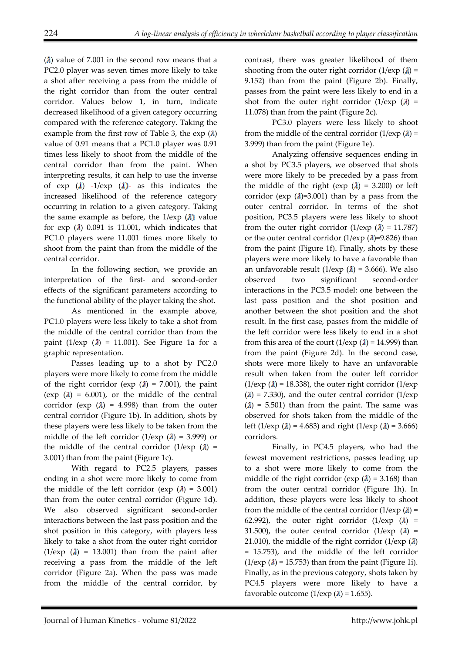$(\lambda)$  value of 7.001 in the second row means that a PC2.0 player was seven times more likely to take a shot after receiving a pass from the middle of the right corridor than from the outer central corridor. Values below 1, in turn, indicate decreased likelihood of a given category occurring compared with the reference category. Taking the example from the first row of Table 3, the  $\exp(A)$ value of 0.91 means that a PC1.0 player was 0.91 times less likely to shoot from the middle of the central corridor than from the paint. When interpreting results, it can help to use the inverse of  $\exp\left(\lambda\right)$  -1/exp  $(\lambda)$ - as this indicates the increased likelihood of the reference category occurring in relation to a given category. Taking the same example as before, the  $1$ /exp  $(\lambda)$  value for  $\exp(\lambda)$  0.091 is 11.001, which indicates that PC1.0 players were 11.001 times more likely to shoot from the paint than from the middle of the central corridor.

In the following section, we provide an interpretation of the first- and second-order effects of the significant parameters according to the functional ability of the player taking the shot.

As mentioned in the example above, PC1.0 players were less likely to take a shot from the middle of the central corridor than from the paint (1/exp  $(\lambda)$  = 11.001). See Figure 1a for a graphic representation.

Passes leading up to a shot by PC2.0 players were more likely to come from the middle of the right corridor (exp  $(\lambda)$  = 7.001), the paint (exp  $(\lambda) = 6.001$ ), or the middle of the central corridor (exp  $(\lambda)$  = 4.998) than from the outer central corridor (Figure 1b). In addition, shots by these players were less likely to be taken from the middle of the left corridor (1/exp  $(\lambda) = 3.999$ ) or the middle of the central corridor  $(1/\exp(\lambda))$  = 3.001) than from the paint (Figure 1c).

With regard to PC2.5 players, passes ending in a shot were more likely to come from the middle of the left corridor (exp  $(\lambda) = 3.001$ ) than from the outer central corridor (Figure 1d). We also observed significant second-order interactions between the last pass position and the shot position in this category, with players less likely to take a shot from the outer right corridor  $(1/\exp(\lambda) = 13.001)$  than from the paint after receiving a pass from the middle of the left corridor (Figure 2a). When the pass was made from the middle of the central corridor, by

contrast, there was greater likelihood of them shooting from the outer right corridor  $(1/exp)(\lambda) =$ 9.152) than from the paint (Figure 2b). Finally, passes from the paint were less likely to end in a shot from the outer right corridor  $(1/exp)(\lambda) =$ 11.078) than from the paint (Figure 2c).

PC3.0 players were less likely to shoot from the middle of the central corridor  $(1/exp(\lambda))$  = 3.999) than from the paint (Figure 1e).

Analyzing offensive sequences ending in a shot by PC3.5 players, we observed that shots were more likely to be preceded by a pass from the middle of the right (exp  $(\lambda) = 3.200$ ) or left corridor (exp  $(\lambda)$ =3.001) than by a pass from the outer central corridor. In terms of the shot position, PC3.5 players were less likely to shoot from the outer right corridor  $(1/\exp(\lambda) = 11.787)$ or the outer central corridor (1/exp  $(\lambda)$ =9.826) than from the paint (Figure 1f). Finally, shots by these players were more likely to have a favorable than an unfavorable result  $(1/\exp(\lambda) = 3.666)$ . We also observed two significant second-order interactions in the PC3.5 model: one between the last pass position and the shot position and another between the shot position and the shot result. In the first case, passes from the middle of the left corridor were less likely to end in a shot from this area of the court  $(1/\exp(1) = 14.999)$  than from the paint (Figure 2d). In the second case, shots were more likely to have an unfavorable result when taken from the outer left corridor  $(1/\exp(\lambda) = 18.338)$ , the outer right corridor  $(1/\exp(\lambda))$  $(\lambda)$  = 7.330), and the outer central corridor (1/exp)  $(\lambda)$  = 5.501) than from the paint. The same was observed for shots taken from the middle of the left (1/exp  $(\lambda) = 4.683$ ) and right (1/exp  $(\lambda) = 3.666$ ) corridors.

Finally, in PC4.5 players, who had the fewest movement restrictions, passes leading up to a shot were more likely to come from the middle of the right corridor (exp  $(\lambda) = 3.168$ ) than from the outer central corridor (Figure 1h). In addition, these players were less likely to shoot from the middle of the central corridor  $(1/\exp(\lambda))$  = 62.992), the outer right corridor  $(1/exp (a) =$ 31.500), the outer central corridor  $(1/\exp(1)) =$ 21.010), the middle of the right corridor  $(1/\exp(\lambda))$ = 15.753), and the middle of the left corridor  $(1/\exp(4) = 15.753)$  than from the paint (Figure 1i). Finally, as in the previous category, shots taken by PC4.5 players were more likely to have a favorable outcome  $(1/\exp(\lambda) = 1.655)$ .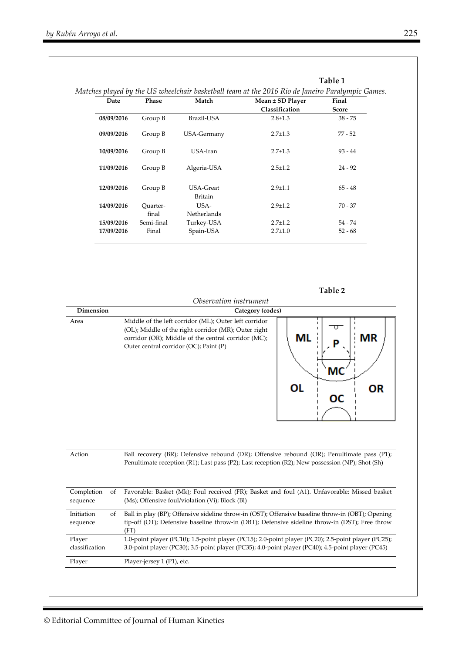|                          | Date       | Matches played by the US wheelchair basketball team at the 2016 Rio de Janeiro Paralympic Games.<br>Phase | Match                                                                                         | Mean ± SD Player                                                                                                                                                                                           | Final                                            |  |  |  |  |  |
|--------------------------|------------|-----------------------------------------------------------------------------------------------------------|-----------------------------------------------------------------------------------------------|------------------------------------------------------------------------------------------------------------------------------------------------------------------------------------------------------------|--------------------------------------------------|--|--|--|--|--|
|                          |            |                                                                                                           |                                                                                               | Classification                                                                                                                                                                                             | <b>Score</b>                                     |  |  |  |  |  |
| 08/09/2016               |            | Group B                                                                                                   | Brazil-USA                                                                                    | $2.8 \pm 1.3$                                                                                                                                                                                              | $38 - 75$                                        |  |  |  |  |  |
|                          | 09/09/2016 | Group B                                                                                                   | USA-Germany<br>USA-Iran<br>Algeria-USA<br><b>USA-Great</b><br><b>Britain</b>                  | $2.7 \pm 1.3$                                                                                                                                                                                              | $77 - 52$<br>$93 - 44$<br>$24 - 92$<br>$65 - 48$ |  |  |  |  |  |
|                          | 10/09/2016 | Group B                                                                                                   |                                                                                               | $2.7 \pm 1.3$                                                                                                                                                                                              |                                                  |  |  |  |  |  |
|                          | 11/09/2016 | Group B                                                                                                   |                                                                                               | $2.5 \pm 1.2$                                                                                                                                                                                              |                                                  |  |  |  |  |  |
|                          | 12/09/2016 | Group B                                                                                                   |                                                                                               | $2.9 \pm 1.1$                                                                                                                                                                                              |                                                  |  |  |  |  |  |
|                          | 14/09/2016 | Quarter-<br>final                                                                                         | USA-<br>Netherlands                                                                           | $2.9 \pm 1.2$                                                                                                                                                                                              | 70 - 37                                          |  |  |  |  |  |
|                          | 15/09/2016 | Semi-final                                                                                                | Turkey-USA                                                                                    | $2.7 \pm 1.2$                                                                                                                                                                                              | $54 - 74$                                        |  |  |  |  |  |
|                          | 17/09/2016 | Final                                                                                                     | Spain-USA                                                                                     | $2.7 \pm 1.0$                                                                                                                                                                                              | $52 - 68$                                        |  |  |  |  |  |
|                          |            |                                                                                                           | corridor (OR); Middle of the central corridor (MC);<br>Outer central corridor (OC); Paint (P) | ΜL<br>OL                                                                                                                                                                                                   | ΜR<br>МC<br>ΟR<br>ОС                             |  |  |  |  |  |
| Action                   |            |                                                                                                           |                                                                                               | Ball recovery (BR); Defensive rebound (DR); Offensive rebound (OR); Penultimate pass (P1);<br>Penultimate reception (R1); Last pass (P2); Last reception (R2); New possession (NP); Shot (Sh)              |                                                  |  |  |  |  |  |
|                          |            |                                                                                                           |                                                                                               | Favorable: Basket (Mk); Foul received (FR); Basket and foul (A1). Unfavorable: Missed basket                                                                                                               |                                                  |  |  |  |  |  |
| Completion<br>sequence   | οf         |                                                                                                           | (Ms); Offensive foul/violation (Vi); Block (Bl)                                               | Ball in play (BP); Offensive sideline throw-in (OST); Offensive baseline throw-in (OBT); Opening<br>tip-off (OT); Defensive baseline throw-in (DBT); Defensive sideline throw-in (DST); Free throw<br>(FT) |                                                  |  |  |  |  |  |
| Initiation<br>sequence   | οf         |                                                                                                           |                                                                                               |                                                                                                                                                                                                            |                                                  |  |  |  |  |  |
| Player<br>classification |            |                                                                                                           |                                                                                               | 1.0-point player (PC10); 1.5-point player (PC15); 2.0-point player (PC20); 2.5-point player (PC25);<br>3.0-point player (PC30); 3.5-point player (PC35); 4.0-point player (PC40); 4.5-point player (PC45)  |                                                  |  |  |  |  |  |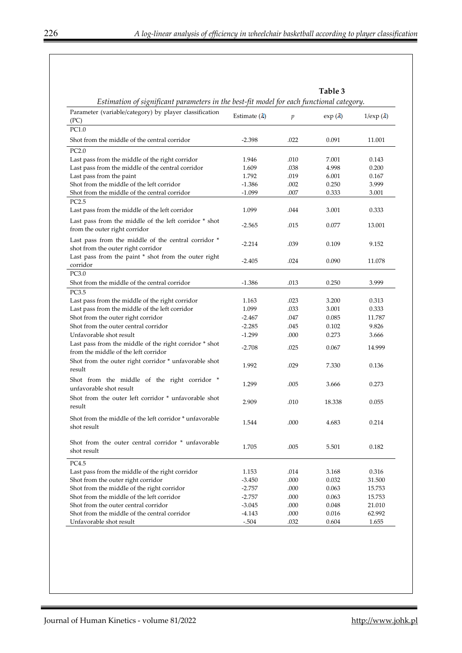| Estimation of significant parameters in the best-fit model for each functional category.       |                      |                  | Table 3         |                      |
|------------------------------------------------------------------------------------------------|----------------------|------------------|-----------------|----------------------|
| Parameter (variable/category) by player classification<br>(PC)                                 | Estimate $(\lambda)$ | $\boldsymbol{p}$ | $\exp(\lambda)$ | $1$ /exp $(\lambda)$ |
| PC1.0                                                                                          |                      |                  |                 |                      |
| Shot from the middle of the central corridor                                                   | $-2.398$             | .022             | 0.091           | 11.001               |
| PC2.0                                                                                          |                      |                  |                 |                      |
| Last pass from the middle of the right corridor                                                | 1.946                | .010             | 7.001           | 0.143                |
| Last pass from the middle of the central corridor                                              | 1.609                | .038             | 4.998           | 0.200                |
| Last pass from the paint                                                                       | 1.792                | .019             | 6.001           | 0.167                |
| Shot from the middle of the left corridor                                                      | $-1.386$             | .002             | 0.250           | 3.999                |
| Shot from the middle of the central corridor                                                   | $-1.099$             | .007             | 0.333           | 3.001                |
| PC2.5<br>Last pass from the middle of the left corridor                                        | 1.099                | .044             | 3.001           | 0.333                |
| Last pass from the middle of the left corridor * shot<br>from the outer right corridor         | $-2.565$             | .015             | 0.077           | 13.001               |
| Last pass from the middle of the central corridor *<br>shot from the outer right corridor      | $-2.214$             | .039             | 0.109           | 9.152                |
| Last pass from the paint * shot from the outer right<br>corridor                               | $-2.405$             | .024             | 0.090           | 11.078               |
| PC3.0                                                                                          |                      |                  |                 |                      |
| Shot from the middle of the central corridor                                                   | $-1.386$             | .013             | 0.250           | 3.999                |
| PC3.5                                                                                          |                      |                  |                 |                      |
| Last pass from the middle of the right corridor                                                | 1.163                | .023             | 3.200           | 0.313                |
| Last pass from the middle of the left corridor                                                 | 1.099                | .033             | 3.001           | 0.333                |
| Shot from the outer right corridor                                                             | $-2.467$             | .047             | 0.085           | 11.787               |
| Shot from the outer central corridor                                                           | $-2.285$             | .045             | 0.102           | 9.826                |
| Unfavorable shot result                                                                        | $-1.299$             | .000             | 0.273           | 3.666                |
| Last pass from the middle of the right corridor * shot<br>from the middle of the left corridor | $-2.708$             | .025             | 0.067           | 14.999               |
| Shot from the outer right corridor * unfavorable shot<br>result                                | 1.992                | .029             | 7.330           | 0.136                |
| Shot from the middle of the right corridor *<br>unfavorable shot result                        | 1.299                | .005             | 3.666           | 0.273                |
| Shot from the outer left corridor * unfavorable shot<br>result                                 | 2.909                | .010             | 18.338          | 0.055                |
| Shot from the middle of the left corridor * unfavorable<br>shot result                         | 1.544                | .000             | 4.683           | 0.214                |
| Shot from the outer central corridor * unfavorable<br>shot result                              | 1.705                | .005             | 5.501           | 0.182                |
| PC4.5                                                                                          |                      |                  |                 |                      |
| Last pass from the middle of the right corridor                                                | 1.153                | .014             | 3.168           | 0.316                |
| Shot from the outer right corridor                                                             | $-3.450$             | .000             | 0.032           | 31.500               |
| Shot from the middle of the right corridor                                                     | $-2.757$             | .000             | 0.063           | 15.753               |
| Shot from the middle of the left corridor                                                      | $-2.757$             | .000             | 0.063           | 15.753               |
| Shot from the outer central corridor                                                           | $-3.045$             | .000             | 0.048           | 21.010               |
| Shot from the middle of the central corridor                                                   | -4.143               | .000             | 0.016           | 62.992               |
| Unfavorable shot result                                                                        | $-.504$              | .032             | 0.604           | 1.655                |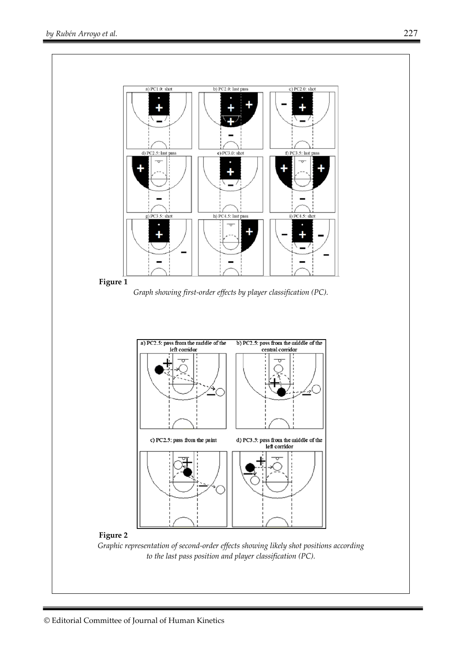



*Graphic representation of second-order effects showing likely shot positions according to the last pass position and player classification (PC).*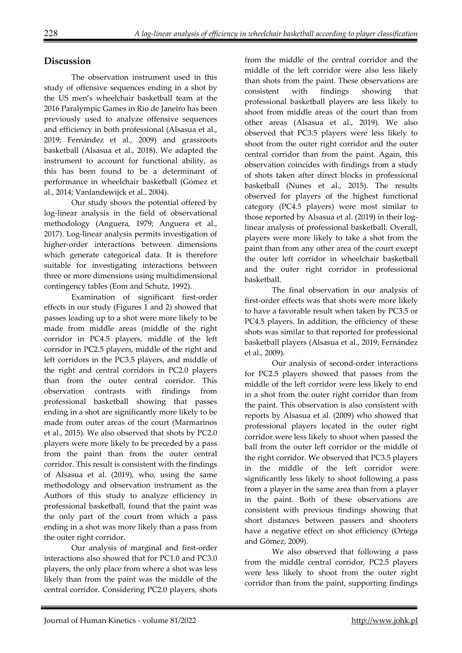# **Discussion**

The observation instrument used in this study of offensive sequences ending in a shot by the US men's wheelchair basketball team at the 2016 Paralympic Games in Rio de Janeiro has been previously used to analyze offensive sequences and efficiency in both professional (Alsasua et al., 2019; Fernández et al., 2009) and grassroots basketball (Alsasua et al., 2018). We adapted the instrument to account for functional ability, as this has been found to be a determinant of performance in wheelchair basketball (Gómez et al., 2014; Vanlandewijck et al., 2004).

Our study shows the potential offered by log-linear analysis in the field of observational methodology (Anguera, 1979; Anguera et al., 2017). Log-linear analysis permits investigation of higher-order interactions between dimensions which generate categorical data. It is therefore suitable for investigating interactions between three or more dimensions using multidimensional contingency tables (Eom and Schutz, 1992).

Examination of significant first-order effects in our study (Figures 1 and 2) showed that passes leading up to a shot were more likely to be made from middle areas (middle of the right corridor in PC4.5 players, middle of the left corridor in PC2.5 players, middle of the right and left corridors in the PC3.5 players, and middle of the right and central corridors in PC2.0 players than from the outer central corridor. This observation contrasts with findings from professional basketball showing that passes ending in a shot are significantly more likely to be made from outer areas of the court (Marmarinos et al., 2015). We also observed that shots by PC2.0 players were more likely to be preceded by a pass from the paint than from the outer central corridor. This result is consistent with the findings of Alsasua et al. (2019), who, using the same methodology and observation instrument as the Authors of this study to analyze efficiency in professional basketball, found that the paint was the only part of the court from which a pass ending in a shot was more likely than a pass from the outer right corridor.

Our analysis of marginal and first-order interactions also showed that for PC1.0 and PC3.0 players, the only place from where a shot was less likely than from the paint was the middle of the central corridor. Considering PC2.0 players, shots

from the middle of the central corridor and the middle of the left corridor were also less likely than shots from the paint. These observations are consistent with findings showing that professional basketball players are less likely to shoot from middle areas of the court than from other areas (Alsasua et al., 2019). We also observed that PC3.5 players were less likely to shoot from the outer right corridor and the outer central corridor than from the paint. Again, this observation coincides with findings from a study of shots taken after direct blocks in professional basketball (Nunes et al., 2015). The results observed for players of the highest functional category (PC4.5 players) were most similar to those reported by Alsasua et al. (2019) in their loglinear analysis of professional basketball. Overall, players were more likely to take a shot from the paint than from any other area of the court except the outer left corridor in wheelchair basketball and the outer right corridor in professional basketball.

The final observation in our analysis of first-order effects was that shots were more likely to have a favorable result when taken by PC3.5 or PC4.5 players. In addition, the efficiency of these shots was similar to that reported for professional basketball players (Alsasua et al., 2019; Fernández et al., 2009).

Our analysis of second-order interactions for PC2.5 players showed that passes from the middle of the left corridor were less likely to end in a shot from the outer right corridor than from the paint. This observation is also consistent with reports by Alsasua et al. (2009) who showed that professional players located in the outer right corridor were less likely to shoot when passed the ball from the outer left corridor or the middle of the right corridor. We observed that PC3.5 players in the middle of the left corridor were significantly less likely to shoot following a pass from a player in the same area than from a player in the paint. Both of these observations are consistent with previous findings showing that short distances between passers and shooters have a negative effect on shot efficiency (Ortega and Gómez, 2009).

We also observed that following a pass from the middle central corridor, PC2.5 players were less likely to shoot from the outer right corridor than from the paint, supporting findings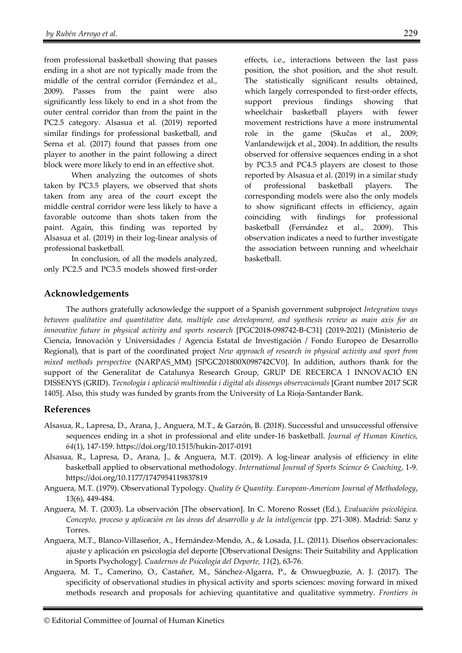from professional basketball showing that passes ending in a shot are not typically made from the middle of the central corridor (Fernández et al., 2009). Passes from the paint were also significantly less likely to end in a shot from the outer central corridor than from the paint in the PC2.5 category. Alsasua et al. (2019) reported similar findings for professional basketball, and Serna et al. (2017) found that passes from one player to another in the paint following a direct block were more likely to end in an effective shot.

When analyzing the outcomes of shots taken by PC3.5 players, we observed that shots taken from any area of the court except the middle central corridor were less likely to have a favorable outcome than shots taken from the paint. Again, this finding was reported by Alsasua et al. (2019) in their log-linear analysis of professional basketball.

In conclusion, of all the models analyzed, only PC2.5 and PC3.5 models showed first-order effects, i.e., interactions between the last pass position, the shot position, and the shot result. The statistically significant results obtained, which largely corresponded to first-order effects, support previous findings showing that wheelchair basketball players with fewer movement restrictions have a more instrumental role in the game (Skučas et al., 2009; Vanlandewijck et al., 2004). In addition, the results observed for offensive sequences ending in a shot by PC3.5 and PC4.5 players are closest to those reported by Alsasua et al. (2019) in a similar study of professional basketball players. The corresponding models were also the only models to show significant effects in efficiency, again coinciding with findings for professional basketball (Fernández et al., 2009). This observation indicates a need to further investigate the association between running and wheelchair basketball.

## **Acknowledgements**

The authors gratefully acknowledge the support of a Spanish government subproject *Integration ways between qualitative and quantitative data, multiple case development, and synthesis review as main axis for an innovative future in physical activity and sports research* [PGC2018-098742-B-C31] (2019-2021) (Ministerio de Ciencia, Innovación y Universidades / Agencia Estatal de Investigación / Fondo Europeo de Desarrollo Regional), that is part of the coordinated project *New approach of research in physical activity and sport from mixed methods perspective* (NARPAS\_MM) [SPGC201800X098742CV0]. In addition, authors thank for the support of the Generalitat de Catalunya Research Group, GRUP DE RECERCA I INNOVACIÓ EN DISSENYS (GRID). *Tecnología i aplicació multimedia i digital als dissenys observacionals* [Grant number 2017 SGR 1405]. Also, this study was funded by grants from the University of La Rioja-Santander Bank.

#### **References**

- Alsasua, R., Lapresa, D., Arana, J., Anguera, M.T., & Garzón, B. (2018). Successful and unsuccessful offensive sequences ending in a shot in professional and elite under-16 basketball. *Journal of Human Kinetics, 64*(1), 147-159. https://doi.org/10.1515/hukin-2017-0191
- Alsasua, R., Lapresa, D., Arana, J., & Anguera, M.T. (2019). A log-linear analysis of efficiency in elite basketball applied to observational methodology. *International Journal of Sports Science & Coaching*, 1-9. https://doi.org/10.1177/1747954119837819
- Anguera, M.T. (1979). Observational Typology. *Quality & Quantity. European-American Journal of Methodology*, 13(6), 449-484.
- Anguera, M. T. (2003). La observación [The observation]. In C. Moreno Rosset (Ed.), *Evaluación psicológica. Concepto, proceso y aplicación en las áreas del desarrollo y de la inteligencia* (pp. 271-308). Madrid: Sanz y Torres.
- Anguera, M.T., Blanco-Villaseñor, A., Hernández-Mendo, A., & Losada, J.L. (2011). Diseños observacionales: ajuste y aplicación en psicología del deporte [Observational Designs: Their Suitability and Application in Sports Psychology]. *Cuadernos de Psicología del Deporte, 11*(2), 63-76.
- Anguera, M. T., Camerino, O., Castañer, M., Sánchez-Algarra, P., & Onwuegbuzie, A. J. (2017). The specificity of observational studies in physical activity and sports sciences: moving forward in mixed methods research and proposals for achieving quantitative and qualitative symmetry. *Frontiers in*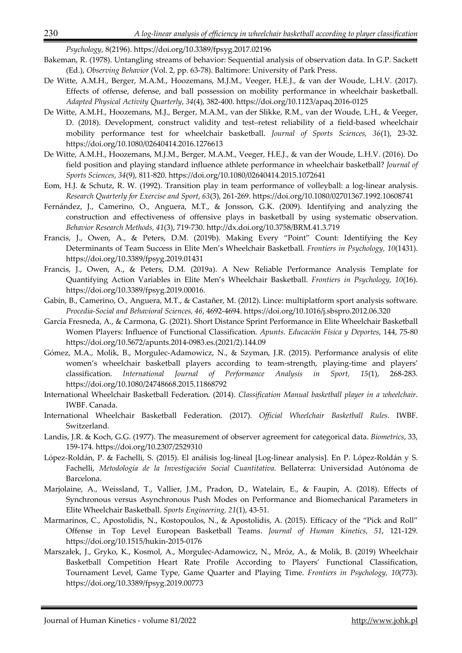*Psychology*, 8(2196). https://doi.org/10.3389/fpsyg.2017.02196

- Bakeman, R. (1978). Untangling streams of behavior: Sequential analysis of observation data. In G.P. Sackett (Ed.), *Observing Behavior* (Vol. 2, pp. 63-78). Baltimore: University of Park Press.
- De Witte, A.M.H., Berger, M.A.M., Hoozemans, M.J.M., Veeger, H.E.J., & van der Woude, L.H.V. (2017). Effects of offense, defense, and ball possession on mobility performance in wheelchair basketball. *Adapted Physical Activity Quarterly*, *34*(4), 382-400. https://doi.org/10.1123/apaq.2016-0125
- De Witte, A.M.H., Hoozemans, M.J., Berger, M.A.M., van der Slikke, R.M., van der Woude, L.H., & Veeger, D. (2018). Development, construct validity and test–retest reliability of a field-based wheelchair mobility performance test for wheelchair basketball. *Journal of Sports Sciences, 36*(1), 23-32. https://doi.org/10.1080/02640414.2016.1276613
- De Witte, A.M.H., Hoozemans, M.J.M., Berger, M.A.M., Veeger, H.E.J., & van der Woude, L.H.V. (2016). Do field position and playing standard influence athlete performance in wheelchair basketball? *Journal of Sports Sciences*, *34*(9), 811-820. https://doi.org/10.1080/02640414.2015.1072641
- Eom, H.J. & Schutz, R. W. (1992). Transition play in team performance of volleyball: a log-linear analysis. *Research Quarterly for Exercise and Sport*, *63*(3), 261-269. https://doi.org/10.1080/02701367.1992.10608741
- Fernández, J., Camerino, O., Anguera, M.T., & Jonsson, G.K. (2009). Identifying and analyzing the construction and effectiveness of offensive plays in basketball by using systematic observation. *Behavior Research Methods, 41*(3), 719-730. http://dx.doi.org/10.3758/BRM.41.3.719
- Francis, J., Owen, A., & Peters, D.M. (2019b). Making Every "Point" Count: Identifying the Key Determinants of Team Success in Elite Men's Wheelchair Basketball. *Frontiers in Psychology, 10*(1431). https://doi.org/10.3389/fpsyg.2019.01431
- Francis, J., Owen, A., & Peters, D.M. (2019a). A New Reliable Performance Analysis Template for Quantifying Action Variables in Elite Men's Wheelchair Basketball. *Frontiers in Psychology, 10*(16). https://doi.org/10.3389/fpsyg.2019.00016.
- Gabin, B., Camerino, O., Anguera, M.T., & Castañer, M. (2012). Lince: multiplatform sport analysis software. *Procedia-Social and Behavioral Sciences, 46*, 4692-4694. https://doi.org/10.1016/j.sbspro.2012.06.320
- García Fresneda, A., & Carmona, G. (2021). Short Distance Sprint Performance in Elite Wheelchair Basketball Women Players: Influence of Functional Classification. *Apunts. Educación Física y Deportes*, 144, 75-80 https://doi.org/10.5672/apunts.2014-0983.es.(2021/2).144.09
- Gómez, M.A., Molik, B., Morgulec-Adamowicz, N., & Szyman, J.R. (2015). Performance analysis of elite women's wheelchair basketball players according to team-strength, playing-time and players' classification. *International Journal of Performance Analysis in Sport, 15*(1), 268-283. https://doi.org/10.1080/24748668.2015.11868792
- International Wheelchair Basketball Federation. (2014). *Classification Manual basketball player in a wheelchair*. IWBF. Canada.
- International Wheelchair Basketball Federation. (2017). *Official Wheelchair Basketball Rules*. IWBF. Switzerland.
- Landis, J.R. & Koch, G.G. (1977). The measurement of observer agreement for categorical data. *Biometrics*, 33, 159-174. https://doi.org/10.2307/2529310
- López-Roldán, P. & Fachelli, S. (2015). El análisis log-lineal [Log-linear analysis]. En P. López-Roldán y S. Fachelli, *Metodología de la Investigación Social Cuantitativa*. Bellaterra: Universidad Autónoma de Barcelona.
- Marjolaine, A., Weissland, T., Vallier, J.M., Pradon, D., Watelain, E., & Faupin, A. (2018). Effects of Synchronous versus Asynchronous Push Modes on Performance and Biomechanical Parameters in Elite Wheelchair Basketball. *Sports Engineering, 21*(1), 43-51.
- Marmarinos, C., Apostolidis, N., Kostopoulos, N., & Apostolidis, A. (2015). Efficacy of the "Pick and Roll" Offense in Top Level European Basketball Teams. *Journal of Human Kinetics, 51*, 121-129. https://doi.org/10.1515/hukin-2015-0176
- Marszałek, J., Gryko, K., Kosmol, A., Morgulec-Adamowicz, N., Mróz, A., & Molik, B. (2019) Wheelchair Basketball Competition Heart Rate Profile According to Players' Functional Classification, Tournament Level, Game Type, Game Quarter and Playing Time. *Frontiers in Psychology, 10*(773). https://doi.org/10.3389/fpsyg.2019.00773